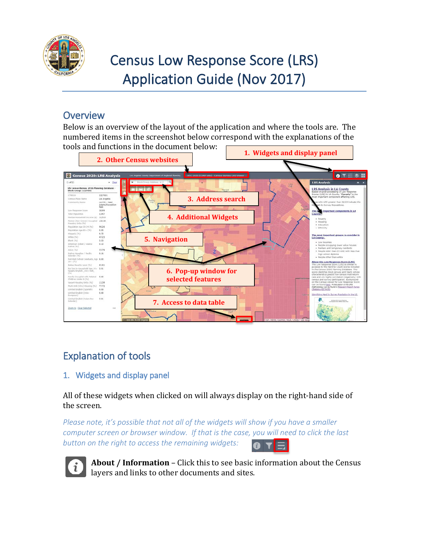

# Census Low Response Score (LRS) Application Guide (Nov 2017)

### **Overview**

Below is an overview of the layout of the application and where the tools are. The numbered items in the screenshot below correspond with the explanations of the tools and functions in the document below:



## Explanation of tools

#### 1. Widgets and display panel

All of these widgets when clicked on will always display on the right-hand side of the screen.

*Please note, it's possible that not all of the widgets will show if you have a smaller computer screen or browser window. If that is the case, you will need to click the last button on the right to access the remaining widgets:* 



**About / Information** – Click this to see basic information about the Census layers and links to other documents and sites.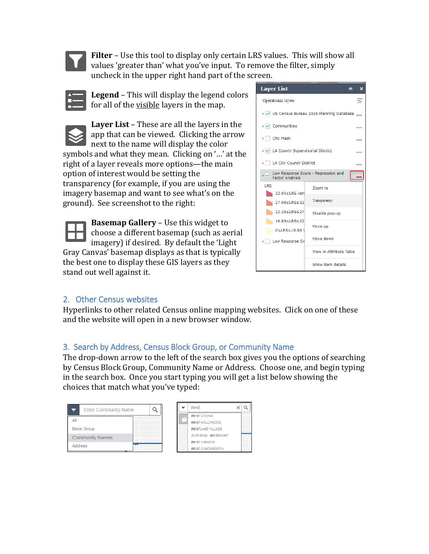

**Filter** – Use this tool to display only certain LRS values. This will show all values 'greater than' what you've input. To remove the filter, simply uncheck in the upper right hand part of the screen.

**Legend** – This will display the legend colors for all of the visible layers in the map.



**Layer List** – These are all the layers in the app that can be viewed. Clicking the arrow next to the name will display the color symbols and what they mean. Clicking on '…' at the right of a layer reveals more options—the main option of interest would be setting the transparency (for example, if you are using the imagery basemap and want to see what's on the ground). See screenshot to the right:

**Basemap Gallery** – Use this widget to choose a different basemap (such as aerial imagery) if desired. By default the 'Light Gray Canvas' basemap displays as that is typically the best one to display these GIS layers as they stand out well against it.



#### 2. Other Census websites

Hyperlinks to other related Census online mapping websites. Click on one of these and the website will open in a new browser window.

#### 3. Search by Address, Census Block Group, or Community Name

The drop-down arrow to the left of the search box gives you the options of searching by Census Block Group, Community Name or Address. Choose one, and begin typing in the search box. Once you start typing you will get a list below showing the choices that match what you've typed:

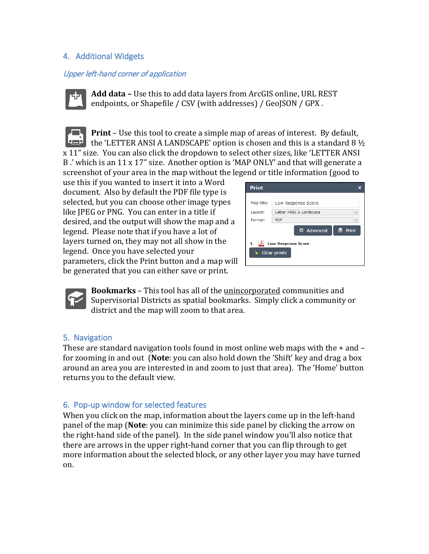#### 4. Additional Widgets

#### Upper left-hand corner of application



**Add data –** Use this to add data layers from ArcGIS online, URL REST endpoints, or Shapefile / CSV (with addresses) / GeoJSON / GPX .

**Print** – Use this tool to create a simple map of areas of interest. By default, the 'LETTER ANSI A LANDSCAPE' option is chosen and this is a standard 8  $\frac{1}{2}$ x 11" size. You can also click the dropdown to select other sizes, like 'LETTER ANSI B .' which is an 11 x 17" size. Another option is 'MAP ONLY' and that will generate a screenshot of your area in the map without the legend or title information (good to

use this if you wanted to insert it into a Word document. Also by default the PDF file type is selected, but you can choose other image types like JPEG or PNG. You can enter in a title if desired, and the output will show the map and a legend. Please note that if you have a lot of layers turned on, they may not all show in the legend. Once you have selected your parameters, click the Print button and a map will be generated that you can either save or print.



**Bookmarks** – This tool has all of the unincorporated communities and Supervisorial Districts as spatial bookmarks. Simply click a community or district and the map will zoom to that area.

#### 5. Navigation

These are standard navigation tools found in most online web maps with the  $+$  and  $$ for zooming in and out (**Note**: you can also hold down the 'Shift' key and drag a box around an area you are interested in and zoom to just that area). The 'Home' button returns you to the default view.

#### 6. Pop-up window for selected features

When you click on the map, information about the layers come up in the left-hand panel of the map (**Note**: you can minimize this side panel by clicking the arrow on the right-hand side of the panel). In the side panel window you'll also notice that there are arrows in the upper right-hand corner that you can flip through to get more information about the selected block, or any other layer you may have turned on.